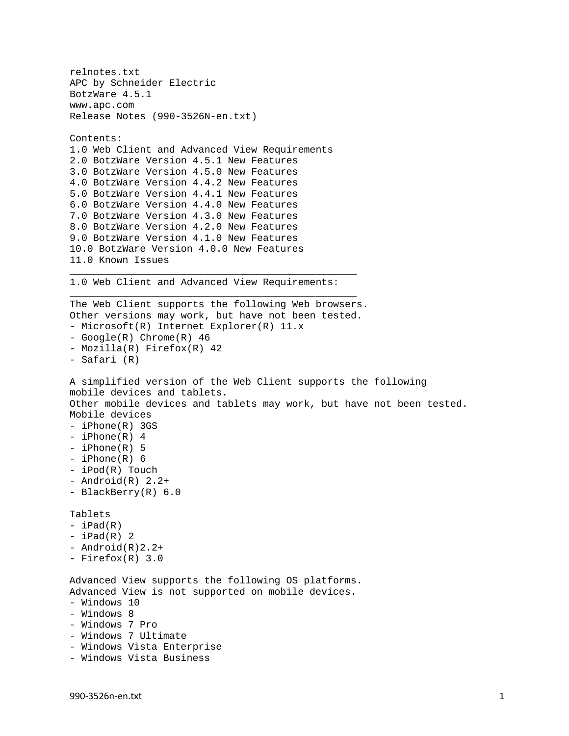```
relnotes.txt
APC by Schneider Electric
BotzWare 4.5.1
www.apc.com
Release Notes (990-3526N-en.txt)
Contents:
1.0 Web Client and Advanced View Requirements
2.0 BotzWare Version 4.5.1 New Features
3.0 BotzWare Version 4.5.0 New Features
4.0 BotzWare Version 4.4.2 New Features
5.0 BotzWare Version 4.4.1 New Features
6.0 BotzWare Version 4.4.0 New Features
7.0 BotzWare Version 4.3.0 New Features
8.0 BotzWare Version 4.2.0 New Features
9.0 BotzWare Version 4.1.0 New Features
10.0 BotzWare Version 4.0.0 New Features
11.0 Known Issues
\overline{\phantom{a}} , and the contract of the contract of \overline{\phantom{a}}1.0 Web Client and Advanced View Requirements:
_________________________________________________
The Web Client supports the following Web browsers. 
Other versions may work, but have not been tested.
- Microsoft(R) Internet Explorer(R) 11.x
- Google(R) Chrome(R) 46
- Mozilla(R) Firefox(R) 42
- Safari (R)
A simplified version of the Web Client supports the following 
mobile devices and tablets. 
Other mobile devices and tablets may work, but have not been tested.
Mobile devices
- iPhone(R) 3GS
- iPhone(R) 4
- iPhone(R) 5
- iPhone(R) 6
- iPod(R) Touch
- Android(R) 2.2+
- BlackBerry(R) 6.0 
Tablets
- iPad(R)- iPad(R) 2
- Android(R)2.2+
- Firefox(R) 3.0 
Advanced View supports the following OS platforms. 
Advanced View is not supported on mobile devices.
- Windows 10
- Windows 8
- Windows 7 Pro
- Windows 7 Ultimate
- Windows Vista Enterprise
- Windows Vista Business
```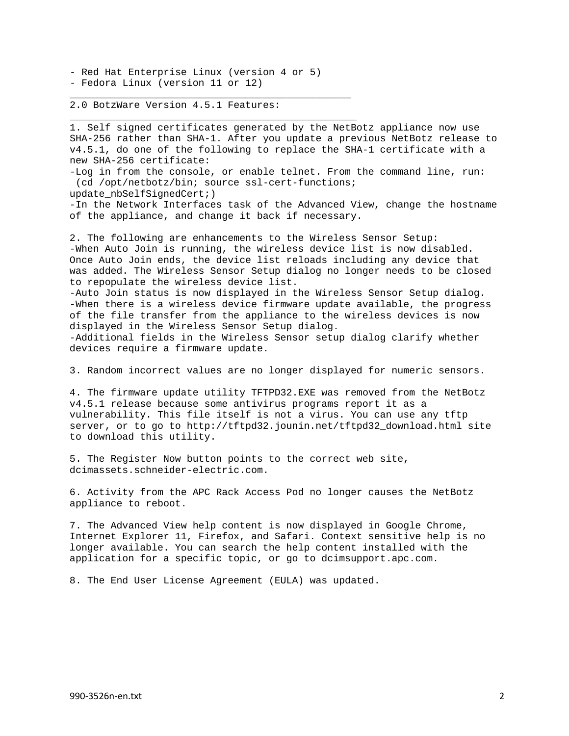- Red Hat Enterprise Linux (version 4 or 5) - Fedora Linux (version 11 or 12)

\_\_\_\_\_\_\_\_\_\_\_\_\_\_\_\_\_\_\_\_\_\_\_\_\_\_\_\_\_\_\_\_\_\_\_\_\_\_\_\_\_\_\_\_\_\_\_\_

\_\_\_\_\_\_\_\_\_\_\_\_\_\_\_\_\_\_\_\_\_\_\_\_\_\_\_\_\_\_\_\_\_\_\_\_\_\_\_\_\_\_\_\_\_\_\_\_\_

2.0 BotzWare Version 4.5.1 Features:

1. Self signed certificates generated by the NetBotz appliance now use SHA-256 rather than SHA-1. After you update a previous NetBotz release to v4.5.1, do one of the following to replace the SHA-1 certificate with a new SHA-256 certificate: -Log in from the console, or enable telnet. From the command line, run: (cd /opt/netbotz/bin; source ssl-cert-functions; update\_nbSelfSignedCert;) -In the Network Interfaces task of the Advanced View, change the hostname of the appliance, and change it back if necessary. 2. The following are enhancements to the Wireless Sensor Setup: -When Auto Join is running, the wireless device list is now disabled. Once Auto Join ends, the device list reloads including any device that was added. The Wireless Sensor Setup dialog no longer needs to be closed to repopulate the wireless device list. -Auto Join status is now displayed in the Wireless Sensor Setup dialog. -When there is a wireless device firmware update available, the progress of the file transfer from the appliance to the wireless devices is now displayed in the Wireless Sensor Setup dialog. -Additional fields in the Wireless Sensor setup dialog clarify whether devices require a firmware update. 3. Random incorrect values are no longer displayed for numeric sensors. 4. The firmware update utility TFTPD32.EXE was removed from the NetBotz v4.5.1 release because some antivirus programs report it as a vulnerability. This file itself is not a virus. You can use any tftp server, or to go to http://tftpd32.jounin.net/tftpd32\_download.html site to download this utility.

5. The Register Now button points to the correct web site, dcimassets.schneider-electric.com.

6. Activity from the APC Rack Access Pod no longer causes the NetBotz appliance to reboot.

7. The Advanced View help content is now displayed in Google Chrome, Internet Explorer 11, Firefox, and Safari. Context sensitive help is no longer available. You can search the help content installed with the application for a specific topic, or go to dcimsupport.apc.com.

8. The End User License Agreement (EULA) was updated.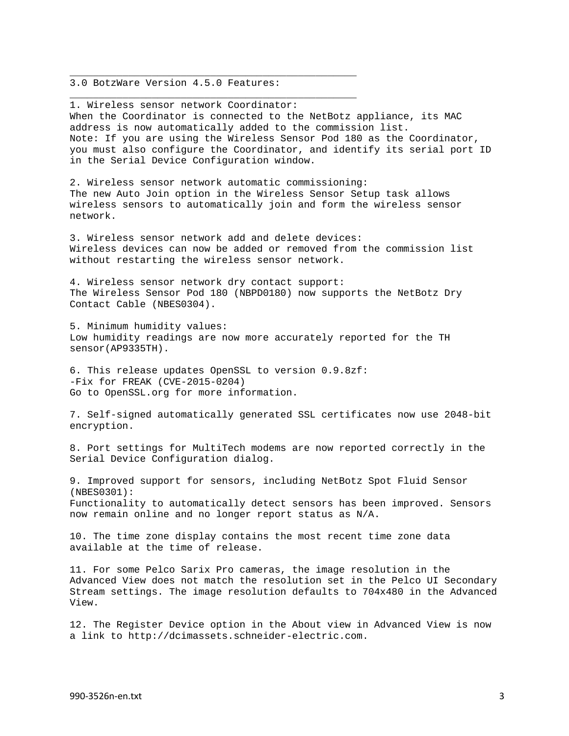3.0 BotzWare Version 4.5.0 Features:

\_\_\_\_\_\_\_\_\_\_\_\_\_\_\_\_\_\_\_\_\_\_\_\_\_\_\_\_\_\_\_\_\_\_\_\_\_\_\_\_\_\_\_\_\_\_\_\_\_

\_\_\_\_\_\_\_\_\_\_\_\_\_\_\_\_\_\_\_\_\_\_\_\_\_\_\_\_\_\_\_\_\_\_\_\_\_\_\_\_\_\_\_\_\_\_\_\_\_

1. Wireless sensor network Coordinator: When the Coordinator is connected to the NetBotz appliance, its MAC address is now automatically added to the commission list. Note: If you are using the Wireless Sensor Pod 180 as the Coordinator, you must also configure the Coordinator, and identify its serial port ID in the Serial Device Configuration window. 2. Wireless sensor network automatic commissioning: The new Auto Join option in the Wireless Sensor Setup task allows wireless sensors to automatically join and form the wireless sensor network. 3. Wireless sensor network add and delete devices: Wireless devices can now be added or removed from the commission list without restarting the wireless sensor network. 4. Wireless sensor network dry contact support: The Wireless Sensor Pod 180 (NBPD0180) now supports the NetBotz Dry Contact Cable (NBES0304). 5. Minimum humidity values: Low humidity readings are now more accurately reported for the TH sensor(AP9335TH). 6. This release updates OpenSSL to version 0.9.8zf: -Fix for FREAK (CVE-2015-0204) Go to OpenSSL.org for more information. 7. Self-signed automatically generated SSL certificates now use 2048-bit encryption. 8. Port settings for MultiTech modems are now reported correctly in the Serial Device Configuration dialog. 9. Improved support for sensors, including NetBotz Spot Fluid Sensor (NBES0301): Functionality to automatically detect sensors has been improved. Sensors now remain online and no longer report status as N/A. 10. The time zone display contains the most recent time zone data available at the time of release. 11. For some Pelco Sarix Pro cameras, the image resolution in the Advanced View does not match the resolution set in the Pelco UI Secondary Stream settings. The image resolution defaults to 704x480 in the Advanced View.

12. The Register Device option in the About view in Advanced View is now a link to http://dcimassets.schneider-electric.com.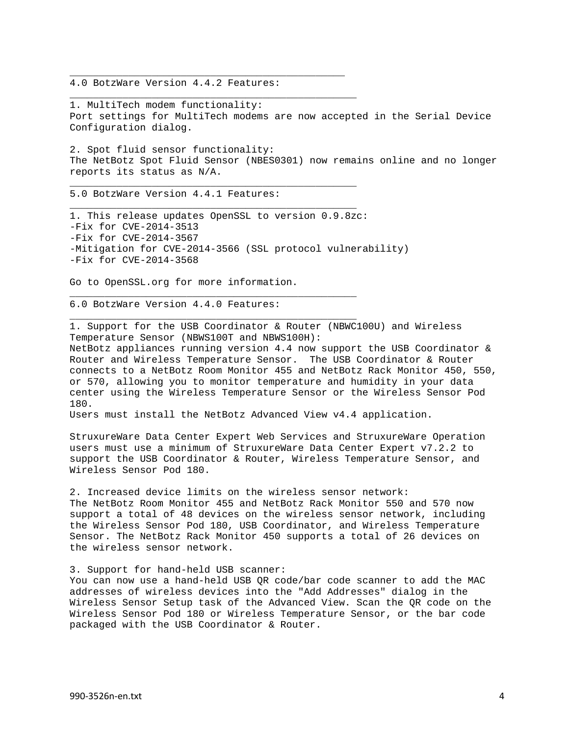$\overline{\phantom{a}}$  , and the contract of the contract of  $\overline{\phantom{a}}$ 4.0 BotzWare Version 4.4.2 Features:

\_\_\_\_\_\_\_\_\_\_\_\_\_\_\_\_\_\_\_\_\_\_\_\_\_\_\_\_\_\_\_\_\_\_\_\_\_\_\_\_\_\_\_\_\_\_\_\_\_

\_\_\_\_\_\_\_\_\_\_\_\_\_\_\_\_\_\_\_\_\_\_\_\_\_\_\_\_\_\_\_\_\_\_\_\_\_\_\_\_\_\_\_\_\_\_\_\_\_

\_\_\_\_\_\_\_\_\_\_\_\_\_\_\_\_\_\_\_\_\_\_\_\_\_\_\_\_\_\_\_\_\_\_\_\_\_\_\_\_\_\_\_\_\_\_\_\_\_

\_\_\_\_\_\_\_\_\_\_\_\_\_\_\_\_\_\_\_\_\_\_\_\_\_\_\_\_\_\_\_\_\_\_\_\_\_\_\_\_\_\_\_\_\_\_\_\_\_

\_\_\_\_\_\_\_\_\_\_\_\_\_\_\_\_\_\_\_\_\_\_\_\_\_\_\_\_\_\_\_\_\_\_\_\_\_\_\_\_\_\_\_\_\_\_\_\_\_

1. MultiTech modem functionality: Port settings for MultiTech modems are now accepted in the Serial Device Configuration dialog.

2. Spot fluid sensor functionality: The NetBotz Spot Fluid Sensor (NBES0301) now remains online and no longer reports its status as N/A.

5.0 BotzWare Version 4.4.1 Features:

1. This release updates OpenSSL to version 0.9.8zc: -Fix for CVE-2014-3513 -Fix for CVE-2014-3567 -Mitigation for CVE-2014-3566 (SSL protocol vulnerability) -Fix for CVE-2014-3568

Go to OpenSSL.org for more information.

6.0 BotzWare Version 4.4.0 Features:

1. Support for the USB Coordinator & Router (NBWC100U) and Wireless Temperature Sensor (NBWS100T and NBWS100H): NetBotz appliances running version 4.4 now support the USB Coordinator & Router and Wireless Temperature Sensor. The USB Coordinator & Router connects to a NetBotz Room Monitor 455 and NetBotz Rack Monitor 450, 550, or 570, allowing you to monitor temperature and humidity in your data center using the Wireless Temperature Sensor or the Wireless Sensor Pod 180.

Users must install the NetBotz Advanced View v4.4 application.

StruxureWare Data Center Expert Web Services and StruxureWare Operation users must use a minimum of StruxureWare Data Center Expert v7.2.2 to support the USB Coordinator & Router, Wireless Temperature Sensor, and Wireless Sensor Pod 180.

2. Increased device limits on the wireless sensor network: The NetBotz Room Monitor 455 and NetBotz Rack Monitor 550 and 570 now support a total of 48 devices on the wireless sensor network, including the Wireless Sensor Pod 180, USB Coordinator, and Wireless Temperature Sensor. The NetBotz Rack Monitor 450 supports a total of 26 devices on the wireless sensor network.

3. Support for hand-held USB scanner: You can now use a hand-held USB QR code/bar code scanner to add the MAC addresses of wireless devices into the "Add Addresses" dialog in the Wireless Sensor Setup task of the Advanced View. Scan the QR code on the Wireless Sensor Pod 180 or Wireless Temperature Sensor, or the bar code packaged with the USB Coordinator & Router.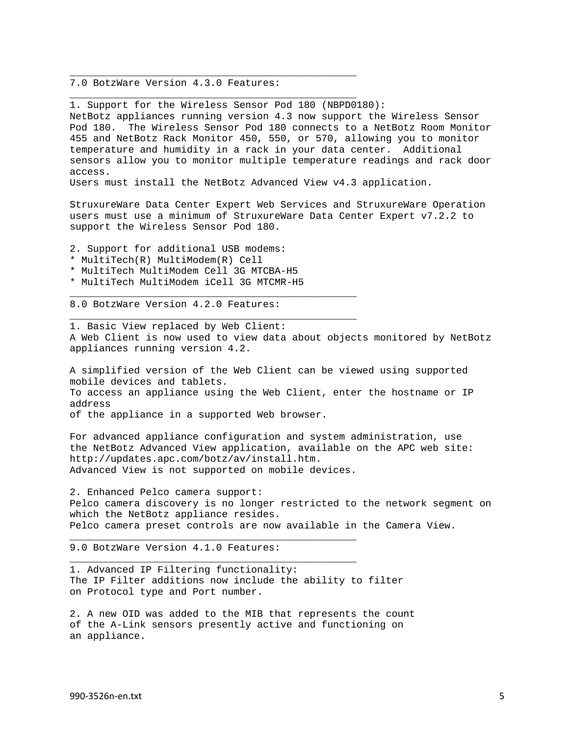7.0 BotzWare Version 4.3.0 Features:

\_\_\_\_\_\_\_\_\_\_\_\_\_\_\_\_\_\_\_\_\_\_\_\_\_\_\_\_\_\_\_\_\_\_\_\_\_\_\_\_\_\_\_\_\_\_\_\_\_

\_\_\_\_\_\_\_\_\_\_\_\_\_\_\_\_\_\_\_\_\_\_\_\_\_\_\_\_\_\_\_\_\_\_\_\_\_\_\_\_\_\_\_\_\_\_\_\_\_

1. Support for the Wireless Sensor Pod 180 (NBPD0180): NetBotz appliances running version 4.3 now support the Wireless Sensor Pod 180. The Wireless Sensor Pod 180 connects to a NetBotz Room Monitor 455 and NetBotz Rack Monitor 450, 550, or 570, allowing you to monitor temperature and humidity in a rack in your data center. Additional sensors allow you to monitor multiple temperature readings and rack door access.

Users must install the NetBotz Advanced View v4.3 application.

StruxureWare Data Center Expert Web Services and StruxureWare Operation users must use a minimum of StruxureWare Data Center Expert v7.2.2 to support the Wireless Sensor Pod 180.

2. Support for additional USB modems:

\* MultiTech(R) MultiModem(R) Cell

\* MultiTech MultiModem Cell 3G MTCBA-H5

\* MultiTech MultiModem iCell 3G MTCMR-H5

\_\_\_\_\_\_\_\_\_\_\_\_\_\_\_\_\_\_\_\_\_\_\_\_\_\_\_\_\_\_\_\_\_\_\_\_\_\_\_\_\_\_\_\_\_\_\_\_\_

 $\overline{\phantom{a}}$  , and the contract of the contract of  $\overline{\phantom{a}}$ 

8.0 BotzWare Version 4.2.0 Features:

1. Basic View replaced by Web Client: A Web Client is now used to view data about objects monitored by NetBotz appliances running version 4.2.

A simplified version of the Web Client can be viewed using supported mobile devices and tablets. To access an appliance using the Web Client, enter the hostname or IP address of the appliance in a supported Web browser.

For advanced appliance configuration and system administration, use the NetBotz Advanced View application, available on the APC web site: http://updates.apc.com/botz/av/install.htm. Advanced View is not supported on mobile devices.

2. Enhanced Pelco camera support: Pelco camera discovery is no longer restricted to the network segment on which the NetBotz appliance resides. Pelco camera preset controls are now available in the Camera View.

9.0 BotzWare Version 4.1.0 Features:

1. Advanced IP Filtering functionality: The IP Filter additions now include the ability to filter on Protocol type and Port number.

\_\_\_\_\_\_\_\_\_\_\_\_\_\_\_\_\_\_\_\_\_\_\_\_\_\_\_\_\_\_\_\_\_\_\_\_\_\_\_\_\_\_\_\_\_\_\_\_\_

\_\_\_\_\_\_\_\_\_\_\_\_\_\_\_\_\_\_\_\_\_\_\_\_\_\_\_\_\_\_\_\_\_\_\_\_\_\_\_\_\_\_\_\_\_\_\_\_\_

2. A new OID was added to the MIB that represents the count of the A-Link sensors presently active and functioning on an appliance.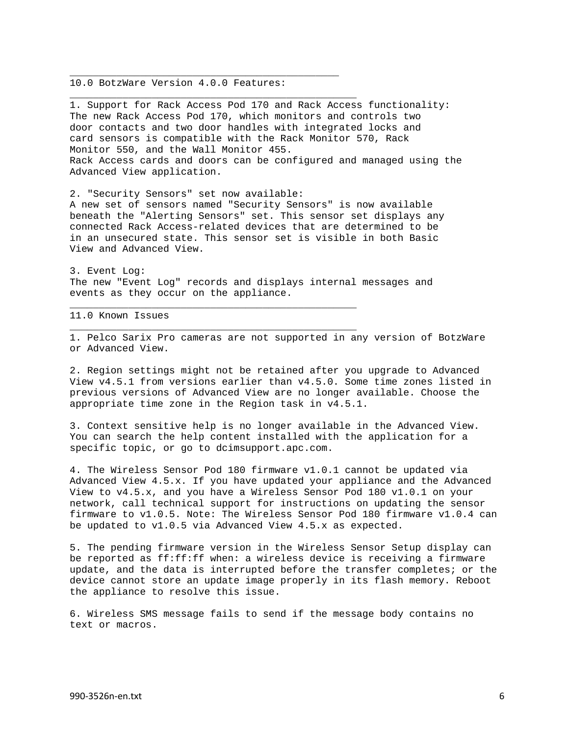10.0 BotzWare Version 4.0.0 Features:

\_\_\_\_\_\_\_\_\_\_\_\_\_\_\_\_\_\_\_\_\_\_\_\_\_\_\_\_\_\_\_\_\_\_\_\_\_\_\_\_\_\_\_\_\_\_

\_\_\_\_\_\_\_\_\_\_\_\_\_\_\_\_\_\_\_\_\_\_\_\_\_\_\_\_\_\_\_\_\_\_\_\_\_\_\_\_\_\_\_\_\_\_\_\_\_

\_\_\_\_\_\_\_\_\_\_\_\_\_\_\_\_\_\_\_\_\_\_\_\_\_\_\_\_\_\_\_\_\_\_\_\_\_\_\_\_\_\_\_\_\_\_\_\_\_

\_\_\_\_\_\_\_\_\_\_\_\_\_\_\_\_\_\_\_\_\_\_\_\_\_\_\_\_\_\_\_\_\_\_\_\_\_\_\_\_\_\_\_\_\_\_\_\_\_

1. Support for Rack Access Pod 170 and Rack Access functionality: The new Rack Access Pod 170, which monitors and controls two door contacts and two door handles with integrated locks and card sensors is compatible with the Rack Monitor 570, Rack Monitor 550, and the Wall Monitor 455. Rack Access cards and doors can be configured and managed using the Advanced View application.

2. "Security Sensors" set now available: A new set of sensors named "Security Sensors" is now available beneath the "Alerting Sensors" set. This sensor set displays any connected Rack Access-related devices that are determined to be in an unsecured state. This sensor set is visible in both Basic View and Advanced View.

3. Event Log: The new "Event Log" records and displays internal messages and events as they occur on the appliance.

11.0 Known Issues

1. Pelco Sarix Pro cameras are not supported in any version of BotzWare or Advanced View.

2. Region settings might not be retained after you upgrade to Advanced View v4.5.1 from versions earlier than v4.5.0. Some time zones listed in previous versions of Advanced View are no longer available. Choose the appropriate time zone in the Region task in v4.5.1.

3. Context sensitive help is no longer available in the Advanced View. You can search the help content installed with the application for a specific topic, or go to dcimsupport.apc.com.

4. The Wireless Sensor Pod 180 firmware v1.0.1 cannot be updated via Advanced View 4.5.x. If you have updated your appliance and the Advanced View to v4.5.x, and you have a Wireless Sensor Pod 180 v1.0.1 on your network, call technical support for instructions on updating the sensor firmware to v1.0.5. Note: The Wireless Sensor Pod 180 firmware v1.0.4 can be updated to v1.0.5 via Advanced View 4.5.x as expected.

5. The pending firmware version in the Wireless Sensor Setup display can be reported as ff:ff:ff when: a wireless device is receiving a firmware update, and the data is interrupted before the transfer completes; or the device cannot store an update image properly in its flash memory. Reboot the appliance to resolve this issue.

6. Wireless SMS message fails to send if the message body contains no text or macros.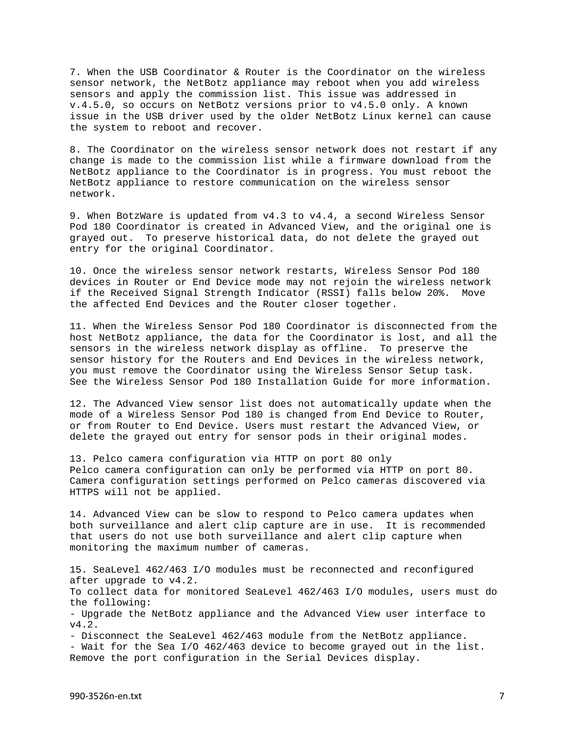7. When the USB Coordinator & Router is the Coordinator on the wireless sensor network, the NetBotz appliance may reboot when you add wireless sensors and apply the commission list. This issue was addressed in v.4.5.0, so occurs on NetBotz versions prior to v4.5.0 only. A known issue in the USB driver used by the older NetBotz Linux kernel can cause the system to reboot and recover.

8. The Coordinator on the wireless sensor network does not restart if any change is made to the commission list while a firmware download from the NetBotz appliance to the Coordinator is in progress. You must reboot the NetBotz appliance to restore communication on the wireless sensor network.

9. When BotzWare is updated from v4.3 to v4.4, a second Wireless Sensor Pod 180 Coordinator is created in Advanced View, and the original one is grayed out. To preserve historical data, do not delete the grayed out entry for the original Coordinator.

10. Once the wireless sensor network restarts, Wireless Sensor Pod 180 devices in Router or End Device mode may not rejoin the wireless network if the Received Signal Strength Indicator (RSSI) falls below 20%. Move the affected End Devices and the Router closer together.

11. When the Wireless Sensor Pod 180 Coordinator is disconnected from the host NetBotz appliance, the data for the Coordinator is lost, and all the sensors in the wireless network display as offline. To preserve the sensor history for the Routers and End Devices in the wireless network, you must remove the Coordinator using the Wireless Sensor Setup task. See the Wireless Sensor Pod 180 Installation Guide for more information.

12. The Advanced View sensor list does not automatically update when the mode of a Wireless Sensor Pod 180 is changed from End Device to Router, or from Router to End Device. Users must restart the Advanced View, or delete the grayed out entry for sensor pods in their original modes.

13. Pelco camera configuration via HTTP on port 80 only Pelco camera configuration can only be performed via HTTP on port 80. Camera configuration settings performed on Pelco cameras discovered via HTTPS will not be applied.

14. Advanced View can be slow to respond to Pelco camera updates when both surveillance and alert clip capture are in use. It is recommended that users do not use both surveillance and alert clip capture when monitoring the maximum number of cameras.

15. SeaLevel 462/463 I/O modules must be reconnected and reconfigured after upgrade to v4.2. To collect data for monitored SeaLevel 462/463 I/O modules, users must do the following: - Upgrade the NetBotz appliance and the Advanced View user interface to v4.2.

- Disconnect the SeaLevel 462/463 module from the NetBotz appliance. - Wait for the Sea I/O 462/463 device to become grayed out in the list. Remove the port configuration in the Serial Devices display.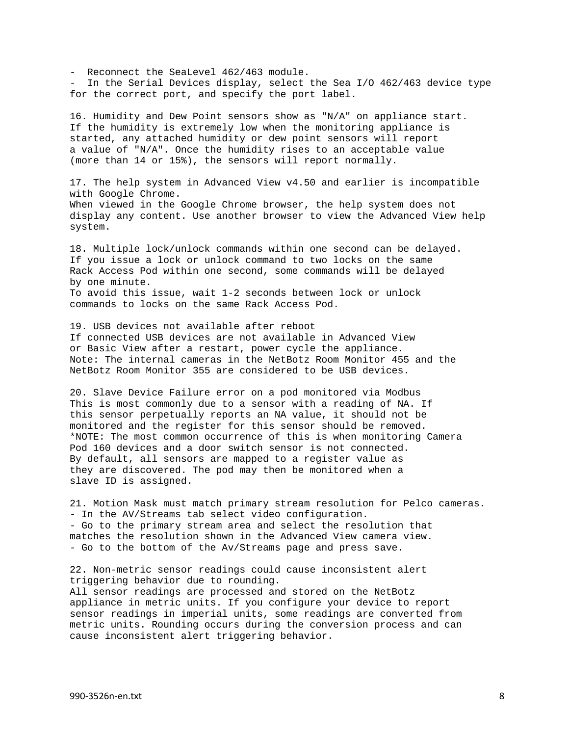- Reconnect the SeaLevel 462/463 module.

- In the Serial Devices display, select the Sea I/O 462/463 device type for the correct port, and specify the port label.

16. Humidity and Dew Point sensors show as "N/A" on appliance start. If the humidity is extremely low when the monitoring appliance is started, any attached humidity or dew point sensors will report a value of "N/A". Once the humidity rises to an acceptable value (more than 14 or 15%), the sensors will report normally.

17. The help system in Advanced View v4.50 and earlier is incompatible with Google Chrome. When viewed in the Google Chrome browser, the help system does not display any content. Use another browser to view the Advanced View help system.

18. Multiple lock/unlock commands within one second can be delayed. If you issue a lock or unlock command to two locks on the same Rack Access Pod within one second, some commands will be delayed by one minute. To avoid this issue, wait 1-2 seconds between lock or unlock commands to locks on the same Rack Access Pod.

19. USB devices not available after reboot If connected USB devices are not available in Advanced View or Basic View after a restart, power cycle the appliance. Note: The internal cameras in the NetBotz Room Monitor 455 and the NetBotz Room Monitor 355 are considered to be USB devices.

20. Slave Device Failure error on a pod monitored via Modbus This is most commonly due to a sensor with a reading of NA. If this sensor perpetually reports an NA value, it should not be monitored and the register for this sensor should be removed. \*NOTE: The most common occurrence of this is when monitoring Camera Pod 160 devices and a door switch sensor is not connected. By default, all sensors are mapped to a register value as they are discovered. The pod may then be monitored when a slave ID is assigned.

21. Motion Mask must match primary stream resolution for Pelco cameras. - In the AV/Streams tab select video configuration. - Go to the primary stream area and select the resolution that matches the resolution shown in the Advanced View camera view. - Go to the bottom of the Av/Streams page and press save.

22. Non-metric sensor readings could cause inconsistent alert triggering behavior due to rounding. All sensor readings are processed and stored on the NetBotz appliance in metric units. If you configure your device to report sensor readings in imperial units, some readings are converted from metric units. Rounding occurs during the conversion process and can cause inconsistent alert triggering behavior.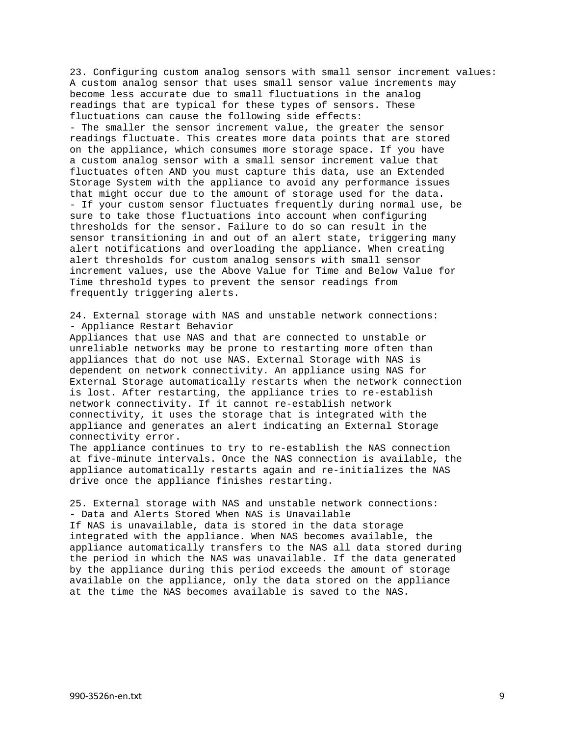23. Configuring custom analog sensors with small sensor increment values: A custom analog sensor that uses small sensor value increments may become less accurate due to small fluctuations in the analog readings that are typical for these types of sensors. These fluctuations can cause the following side effects: - The smaller the sensor increment value, the greater the sensor readings fluctuate. This creates more data points that are stored on the appliance, which consumes more storage space. If you have a custom analog sensor with a small sensor increment value that fluctuates often AND you must capture this data, use an Extended Storage System with the appliance to avoid any performance issues that might occur due to the amount of storage used for the data. - If your custom sensor fluctuates frequently during normal use, be sure to take those fluctuations into account when configuring thresholds for the sensor. Failure to do so can result in the sensor transitioning in and out of an alert state, triggering many alert notifications and overloading the appliance. When creating alert thresholds for custom analog sensors with small sensor increment values, use the Above Value for Time and Below Value for Time threshold types to prevent the sensor readings from frequently triggering alerts.

24. External storage with NAS and unstable network connections: - Appliance Restart Behavior

Appliances that use NAS and that are connected to unstable or unreliable networks may be prone to restarting more often than appliances that do not use NAS. External Storage with NAS is dependent on network connectivity. An appliance using NAS for External Storage automatically restarts when the network connection is lost. After restarting, the appliance tries to re-establish network connectivity. If it cannot re-establish network connectivity, it uses the storage that is integrated with the appliance and generates an alert indicating an External Storage connectivity error.

The appliance continues to try to re-establish the NAS connection at five-minute intervals. Once the NAS connection is available, the appliance automatically restarts again and re-initializes the NAS drive once the appliance finishes restarting.

25. External storage with NAS and unstable network connections: - Data and Alerts Stored When NAS is Unavailable If NAS is unavailable, data is stored in the data storage integrated with the appliance. When NAS becomes available, the appliance automatically transfers to the NAS all data stored during the period in which the NAS was unavailable. If the data generated

by the appliance during this period exceeds the amount of storage available on the appliance, only the data stored on the appliance at the time the NAS becomes available is saved to the NAS.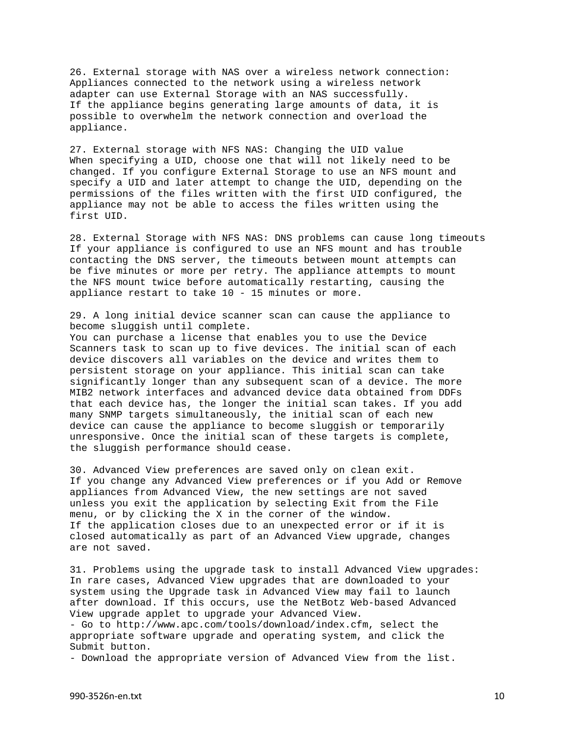26. External storage with NAS over a wireless network connection: Appliances connected to the network using a wireless network adapter can use External Storage with an NAS successfully. If the appliance begins generating large amounts of data, it is possible to overwhelm the network connection and overload the appliance.

27. External storage with NFS NAS: Changing the UID value When specifying a UID, choose one that will not likely need to be changed. If you configure External Storage to use an NFS mount and specify a UID and later attempt to change the UID, depending on the permissions of the files written with the first UID configured, the appliance may not be able to access the files written using the first UID.

28. External Storage with NFS NAS: DNS problems can cause long timeouts If your appliance is configured to use an NFS mount and has trouble contacting the DNS server, the timeouts between mount attempts can be five minutes or more per retry. The appliance attempts to mount the NFS mount twice before automatically restarting, causing the appliance restart to take 10 - 15 minutes or more.

29. A long initial device scanner scan can cause the appliance to become sluggish until complete.

You can purchase a license that enables you to use the Device Scanners task to scan up to five devices. The initial scan of each device discovers all variables on the device and writes them to persistent storage on your appliance. This initial scan can take significantly longer than any subsequent scan of a device. The more MIB2 network interfaces and advanced device data obtained from DDFs that each device has, the longer the initial scan takes. If you add many SNMP targets simultaneously, the initial scan of each new device can cause the appliance to become sluggish or temporarily unresponsive. Once the initial scan of these targets is complete, the sluggish performance should cease.

30. Advanced View preferences are saved only on clean exit. If you change any Advanced View preferences or if you Add or Remove appliances from Advanced View, the new settings are not saved unless you exit the application by selecting Exit from the File menu, or by clicking the X in the corner of the window. If the application closes due to an unexpected error or if it is closed automatically as part of an Advanced View upgrade, changes are not saved.

31. Problems using the upgrade task to install Advanced View upgrades: In rare cases, Advanced View upgrades that are downloaded to your system using the Upgrade task in Advanced View may fail to launch after download. If this occurs, use the NetBotz Web-based Advanced View upgrade applet to upgrade your Advanced View.

- Go to http://www.apc.com/tools/download/index.cfm, select the appropriate software upgrade and operating system, and click the Submit button.

- Download the appropriate version of Advanced View from the list.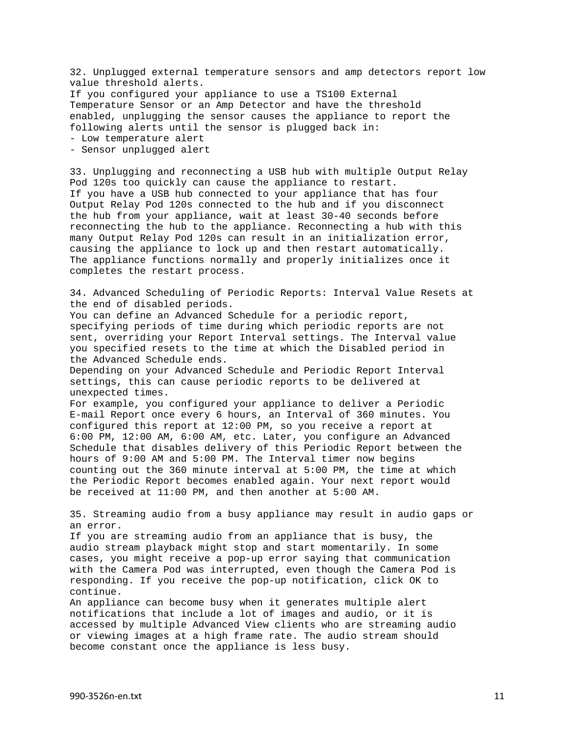32. Unplugged external temperature sensors and amp detectors report low value threshold alerts.

If you configured your appliance to use a TS100 External Temperature Sensor or an Amp Detector and have the threshold enabled, unplugging the sensor causes the appliance to report the following alerts until the sensor is plugged back in:

- Low temperature alert

- Sensor unplugged alert

33. Unplugging and reconnecting a USB hub with multiple Output Relay Pod 120s too quickly can cause the appliance to restart. If you have a USB hub connected to your appliance that has four Output Relay Pod 120s connected to the hub and if you disconnect the hub from your appliance, wait at least 30-40 seconds before reconnecting the hub to the appliance. Reconnecting a hub with this many Output Relay Pod 120s can result in an initialization error, causing the appliance to lock up and then restart automatically. The appliance functions normally and properly initializes once it completes the restart process.

34. Advanced Scheduling of Periodic Reports: Interval Value Resets at the end of disabled periods.

You can define an Advanced Schedule for a periodic report, specifying periods of time during which periodic reports are not sent, overriding your Report Interval settings. The Interval value you specified resets to the time at which the Disabled period in the Advanced Schedule ends.

Depending on your Advanced Schedule and Periodic Report Interval settings, this can cause periodic reports to be delivered at unexpected times.

For example, you configured your appliance to deliver a Periodic E-mail Report once every 6 hours, an Interval of 360 minutes. You configured this report at 12:00 PM, so you receive a report at 6:00 PM, 12:00 AM, 6:00 AM, etc. Later, you configure an Advanced Schedule that disables delivery of this Periodic Report between the hours of 9:00 AM and 5:00 PM. The Interval timer now begins counting out the 360 minute interval at 5:00 PM, the time at which the Periodic Report becomes enabled again. Your next report would be received at 11:00 PM, and then another at 5:00 AM.

35. Streaming audio from a busy appliance may result in audio gaps or an error.

If you are streaming audio from an appliance that is busy, the audio stream playback might stop and start momentarily. In some cases, you might receive a pop-up error saying that communication with the Camera Pod was interrupted, even though the Camera Pod is responding. If you receive the pop-up notification, click OK to continue.

An appliance can become busy when it generates multiple alert notifications that include a lot of images and audio, or it is accessed by multiple Advanced View clients who are streaming audio or viewing images at a high frame rate. The audio stream should become constant once the appliance is less busy.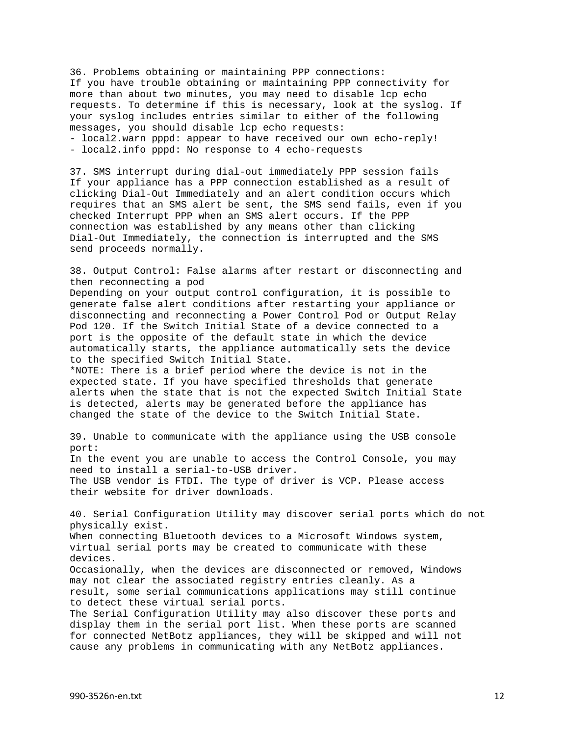36. Problems obtaining or maintaining PPP connections: If you have trouble obtaining or maintaining PPP connectivity for more than about two minutes, you may need to disable lcp echo requests. To determine if this is necessary, look at the syslog. If your syslog includes entries similar to either of the following messages, you should disable lcp echo requests:

- local2.warn pppd: appear to have received our own echo-reply!

- local2.info pppd: No response to 4 echo-requests

37. SMS interrupt during dial-out immediately PPP session fails If your appliance has a PPP connection established as a result of clicking Dial-Out Immediately and an alert condition occurs which requires that an SMS alert be sent, the SMS send fails, even if you checked Interrupt PPP when an SMS alert occurs. If the PPP connection was established by any means other than clicking Dial-Out Immediately, the connection is interrupted and the SMS send proceeds normally.

38. Output Control: False alarms after restart or disconnecting and then reconnecting a pod

Depending on your output control configuration, it is possible to generate false alert conditions after restarting your appliance or disconnecting and reconnecting a Power Control Pod or Output Relay Pod 120. If the Switch Initial State of a device connected to a port is the opposite of the default state in which the device automatically starts, the appliance automatically sets the device to the specified Switch Initial State.

\*NOTE: There is a brief period where the device is not in the expected state. If you have specified thresholds that generate alerts when the state that is not the expected Switch Initial State is detected, alerts may be generated before the appliance has changed the state of the device to the Switch Initial State.

39. Unable to communicate with the appliance using the USB console port: In the event you are unable to access the Control Console, you may need to install a serial-to-USB driver. The USB vendor is FTDI. The type of driver is VCP. Please access their website for driver downloads.

40. Serial Configuration Utility may discover serial ports which do not physically exist.

When connecting Bluetooth devices to a Microsoft Windows system, virtual serial ports may be created to communicate with these devices.

Occasionally, when the devices are disconnected or removed, Windows may not clear the associated registry entries cleanly. As a result, some serial communications applications may still continue to detect these virtual serial ports.

The Serial Configuration Utility may also discover these ports and display them in the serial port list. When these ports are scanned for connected NetBotz appliances, they will be skipped and will not cause any problems in communicating with any NetBotz appliances.